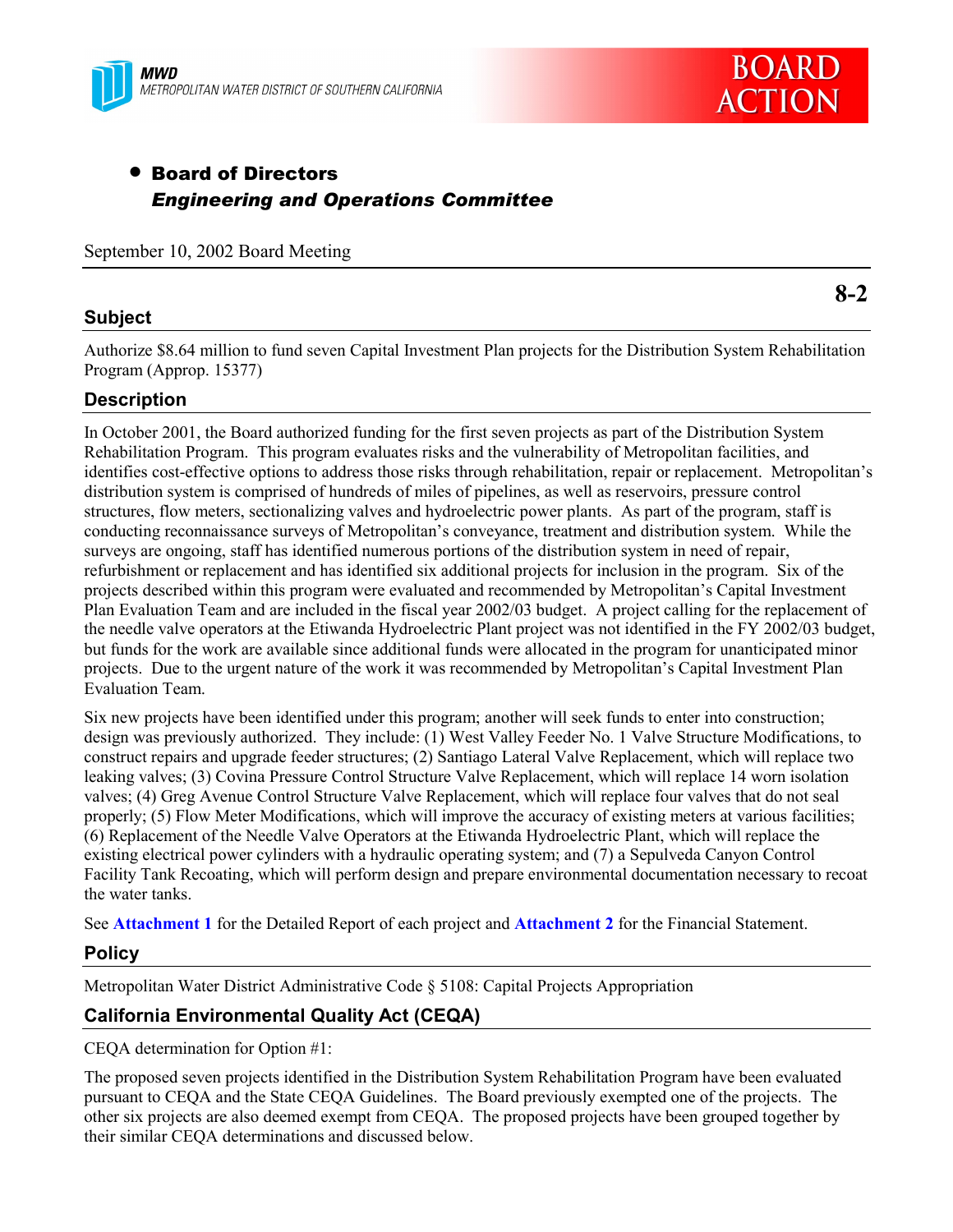



# • Board of Directors *Engineering and Operations Committee*

September 10, 2002 Board Meeting

# **Subject**

**8-2**

Authorize \$8.64 million to fund seven Capital Investment Plan projects for the Distribution System Rehabilitation Program (Approp. 15377)

# **Description**

In October 2001, the Board authorized funding for the first seven projects as part of the Distribution System Rehabilitation Program. This program evaluates risks and the vulnerability of Metropolitan facilities, and identifies cost-effective options to address those risks through rehabilitation, repair or replacement. Metropolitanís distribution system is comprised of hundreds of miles of pipelines, as well as reservoirs, pressure control structures, flow meters, sectionalizing valves and hydroelectric power plants. As part of the program, staff is conducting reconnaissance surveys of Metropolitan's conveyance, treatment and distribution system. While the surveys are ongoing, staff has identified numerous portions of the distribution system in need of repair, refurbishment or replacement and has identified six additional projects for inclusion in the program. Six of the projects described within this program were evaluated and recommended by Metropolitanís Capital Investment Plan Evaluation Team and are included in the fiscal year 2002/03 budget. A project calling for the replacement of the needle valve operators at the Etiwanda Hydroelectric Plant project was not identified in the FY 2002/03 budget, but funds for the work are available since additional funds were allocated in the program for unanticipated minor projects. Due to the urgent nature of the work it was recommended by Metropolitanís Capital Investment Plan Evaluation Team.

Six new projects have been identified under this program; another will seek funds to enter into construction; design was previously authorized. They include: (1) West Valley Feeder No. 1 Valve Structure Modifications, to construct repairs and upgrade feeder structures; (2) Santiago Lateral Valve Replacement, which will replace two leaking valves; (3) Covina Pressure Control Structure Valve Replacement, which will replace 14 worn isolation valves; (4) Greg Avenue Control Structure Valve Replacement, which will replace four valves that do not seal properly; (5) Flow Meter Modifications, which will improve the accuracy of existing meters at various facilities; (6) Replacement of the Needle Valve Operators at the Etiwanda Hydroelectric Plant, which will replace the existing electrical power cylinders with a hydraulic operating system; and (7) a Sepulveda Canyon Control Facility Tank Recoating, which will perform design and prepare environmental documentation necessary to recoat the water tanks.

See **Attachment 1** for the Detailed Report of each project and **Attachment 2** for the Financial Statement.

## **Policy**

Metropolitan Water District Administrative Code ß 5108: Capital Projects Appropriation

# **California Environmental Quality Act (CEQA)**

CEQA determination for Option #1:

The proposed seven projects identified in the Distribution System Rehabilitation Program have been evaluated pursuant to CEQA and the State CEQA Guidelines. The Board previously exempted one of the projects. The other six projects are also deemed exempt from CEQA. The proposed projects have been grouped together by their similar CEQA determinations and discussed below.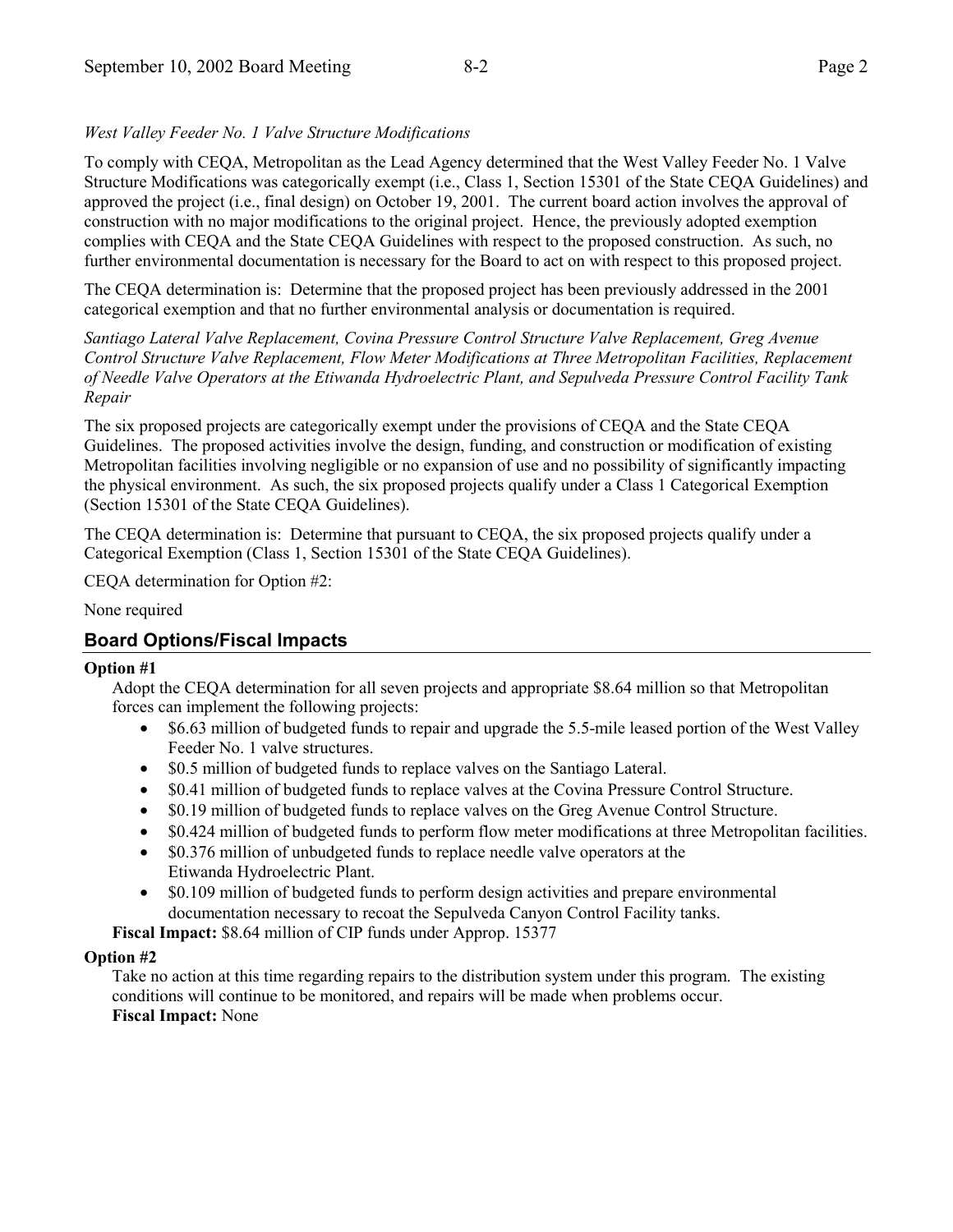## *West Valley Feeder No. 1 Valve Structure Modifications*

To comply with CEQA, Metropolitan as the Lead Agency determined that the West Valley Feeder No. 1 Valve Structure Modifications was categorically exempt (i.e., Class 1, Section 15301 of the State CEQA Guidelines) and approved the project (i.e., final design) on October 19, 2001. The current board action involves the approval of construction with no major modifications to the original project. Hence, the previously adopted exemption complies with CEQA and the State CEQA Guidelines with respect to the proposed construction. As such, no further environmental documentation is necessary for the Board to act on with respect to this proposed project.

The CEQA determination is: Determine that the proposed project has been previously addressed in the 2001 categorical exemption and that no further environmental analysis or documentation is required.

*Santiago Lateral Valve Replacement, Covina Pressure Control Structure Valve Replacement, Greg Avenue Control Structure Valve Replacement, Flow Meter Modifications at Three Metropolitan Facilities, Replacement of Needle Valve Operators at the Etiwanda Hydroelectric Plant, and Sepulveda Pressure Control Facility Tank Repair*

The six proposed projects are categorically exempt under the provisions of CEQA and the State CEQA Guidelines. The proposed activities involve the design, funding, and construction or modification of existing Metropolitan facilities involving negligible or no expansion of use and no possibility of significantly impacting the physical environment. As such, the six proposed projects qualify under a Class 1 Categorical Exemption (Section 15301 of the State CEQA Guidelines).

The CEQA determination is: Determine that pursuant to CEQA, the six proposed projects qualify under a Categorical Exemption (Class 1, Section 15301 of the State CEQA Guidelines).

CEQA determination for Option #2:

None required

# **Board Options/Fiscal Impacts**

#### **Option #1**

Adopt the CEQA determination for all seven projects and appropriate \$8.64 million so that Metropolitan forces can implement the following projects:

- \$6.63 million of budgeted funds to repair and upgrade the 5.5-mile leased portion of the West Valley Feeder No. 1 valve structures.
- \$0.5 million of budgeted funds to replace valves on the Santiago Lateral.
- \$0.41 million of budgeted funds to replace valves at the Covina Pressure Control Structure.
- \$0.19 million of budgeted funds to replace valves on the Greg Avenue Control Structure.
- \$0.424 million of budgeted funds to perform flow meter modifications at three Metropolitan facilities.
- \$0.376 million of unbudgeted funds to replace needle valve operators at the Etiwanda Hydroelectric Plant.
- \$0.109 million of budgeted funds to perform design activities and prepare environmental documentation necessary to recoat the Sepulveda Canyon Control Facility tanks.

**Fiscal Impact:** \$8.64 million of CIP funds under Approp. 15377

#### **Option #2**

Take no action at this time regarding repairs to the distribution system under this program. The existing conditions will continue to be monitored, and repairs will be made when problems occur. **Fiscal Impact:** None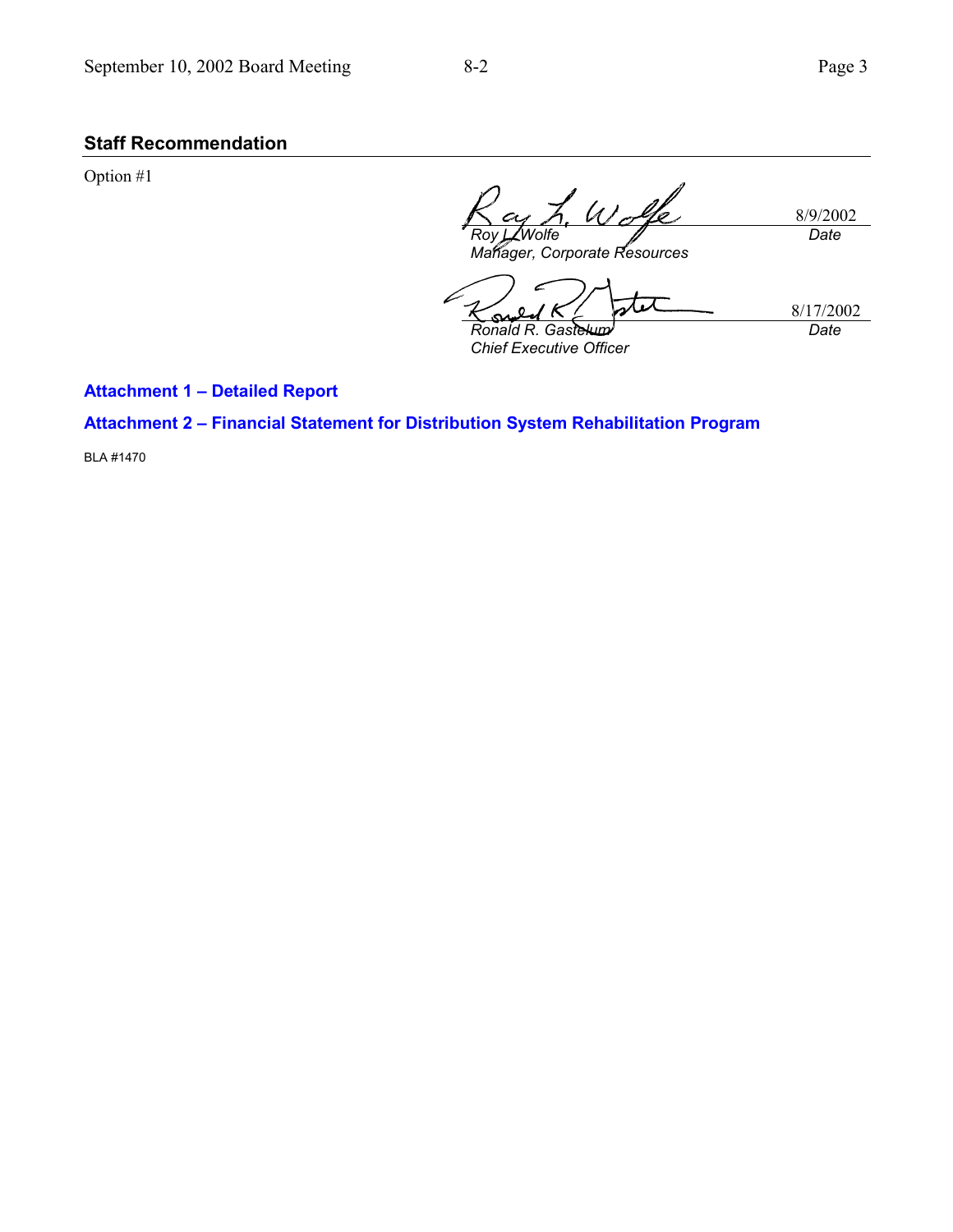# **Staff Recommendation**

Option #1

 $\mu$ 8/9/2002 *Date Roy L. Wolfe*

*Manager, Corporate Resources*

8/17/2002 *Ronald R. Gastelum Date*

*Chief Executive Officer*

**Attachment 1 - Detailed Report** 

**Attachment 2 - Financial Statement for Distribution System Rehabilitation Program** 

BLA #1470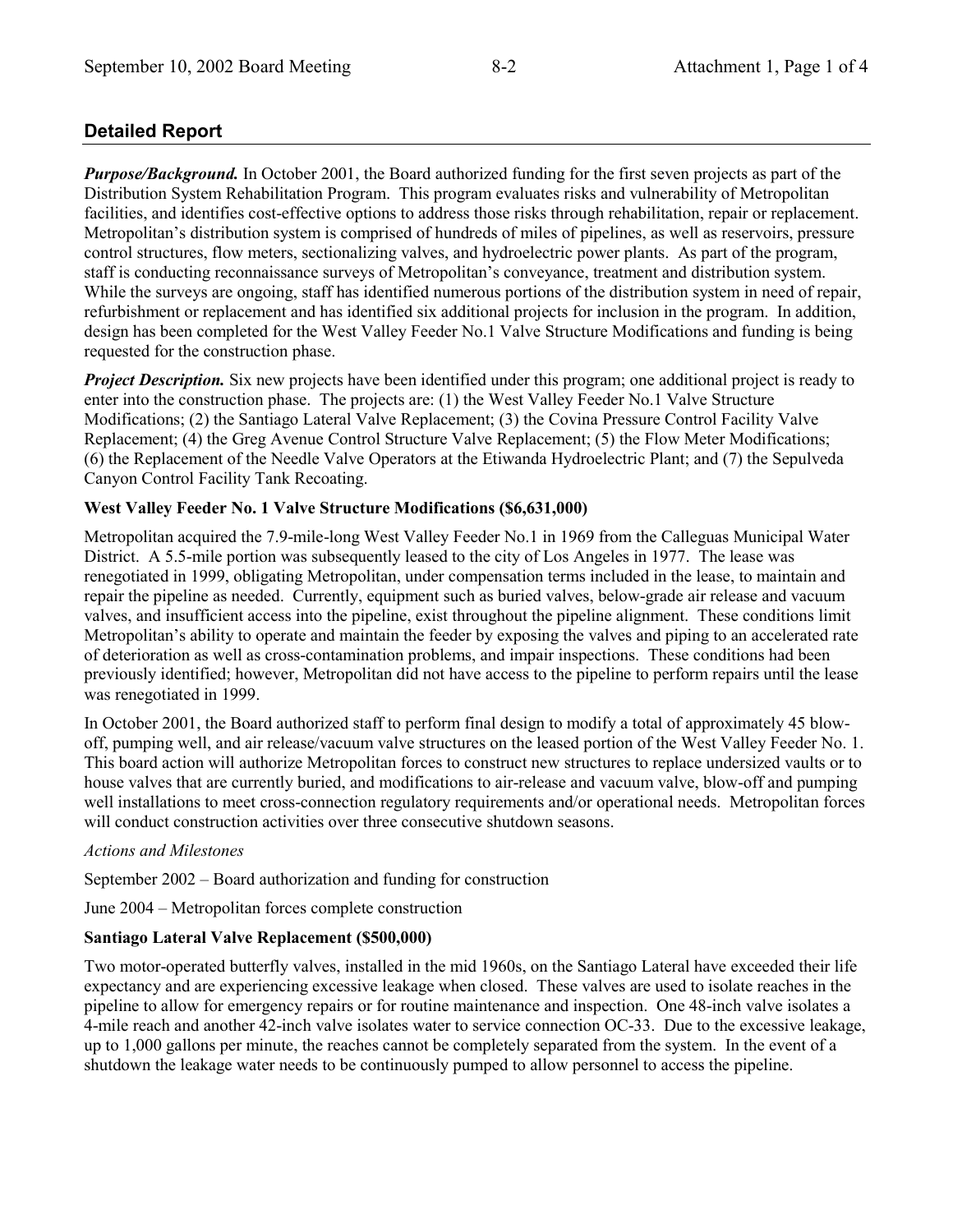# **Detailed Report**

*Purpose/Background.* In October 2001, the Board authorized funding for the first seven projects as part of the Distribution System Rehabilitation Program. This program evaluates risks and vulnerability of Metropolitan facilities, and identifies cost-effective options to address those risks through rehabilitation, repair or replacement. Metropolitanís distribution system is comprised of hundreds of miles of pipelines, as well as reservoirs, pressure control structures, flow meters, sectionalizing valves, and hydroelectric power plants. As part of the program, staff is conducting reconnaissance surveys of Metropolitan's conveyance, treatment and distribution system. While the surveys are ongoing, staff has identified numerous portions of the distribution system in need of repair, refurbishment or replacement and has identified six additional projects for inclusion in the program. In addition, design has been completed for the West Valley Feeder No.1 Valve Structure Modifications and funding is being requested for the construction phase.

*Project Description.* Six new projects have been identified under this program; one additional project is ready to enter into the construction phase. The projects are: (1) the West Valley Feeder No.1 Valve Structure Modifications; (2) the Santiago Lateral Valve Replacement; (3) the Covina Pressure Control Facility Valve Replacement; (4) the Greg Avenue Control Structure Valve Replacement; (5) the Flow Meter Modifications; (6) the Replacement of the Needle Valve Operators at the Etiwanda Hydroelectric Plant; and (7) the Sepulveda Canyon Control Facility Tank Recoating.

## **West Valley Feeder No. 1 Valve Structure Modifications (\$6,631,000)**

Metropolitan acquired the 7.9-mile-long West Valley Feeder No.1 in 1969 from the Calleguas Municipal Water District. A 5.5-mile portion was subsequently leased to the city of Los Angeles in 1977. The lease was renegotiated in 1999, obligating Metropolitan, under compensation terms included in the lease, to maintain and repair the pipeline as needed. Currently, equipment such as buried valves, below-grade air release and vacuum valves, and insufficient access into the pipeline, exist throughout the pipeline alignment. These conditions limit Metropolitan's ability to operate and maintain the feeder by exposing the valves and piping to an accelerated rate of deterioration as well as cross-contamination problems, and impair inspections. These conditions had been previously identified; however, Metropolitan did not have access to the pipeline to perform repairs until the lease was renegotiated in 1999.

In October 2001, the Board authorized staff to perform final design to modify a total of approximately 45 blowoff, pumping well, and air release/vacuum valve structures on the leased portion of the West Valley Feeder No. 1. This board action will authorize Metropolitan forces to construct new structures to replace undersized vaults or to house valves that are currently buried, and modifications to air-release and vacuum valve, blow-off and pumping well installations to meet cross-connection regulatory requirements and/or operational needs. Metropolitan forces will conduct construction activities over three consecutive shutdown seasons.

## *Actions and Milestones*

September  $2002 -$ Board authorization and funding for construction

June 2004 – Metropolitan forces complete construction

## **Santiago Lateral Valve Replacement (\$500,000)**

Two motor-operated butterfly valves, installed in the mid 1960s, on the Santiago Lateral have exceeded their life expectancy and are experiencing excessive leakage when closed. These valves are used to isolate reaches in the pipeline to allow for emergency repairs or for routine maintenance and inspection. One 48-inch valve isolates a 4-mile reach and another 42-inch valve isolates water to service connection OC-33. Due to the excessive leakage, up to 1,000 gallons per minute, the reaches cannot be completely separated from the system. In the event of a shutdown the leakage water needs to be continuously pumped to allow personnel to access the pipeline.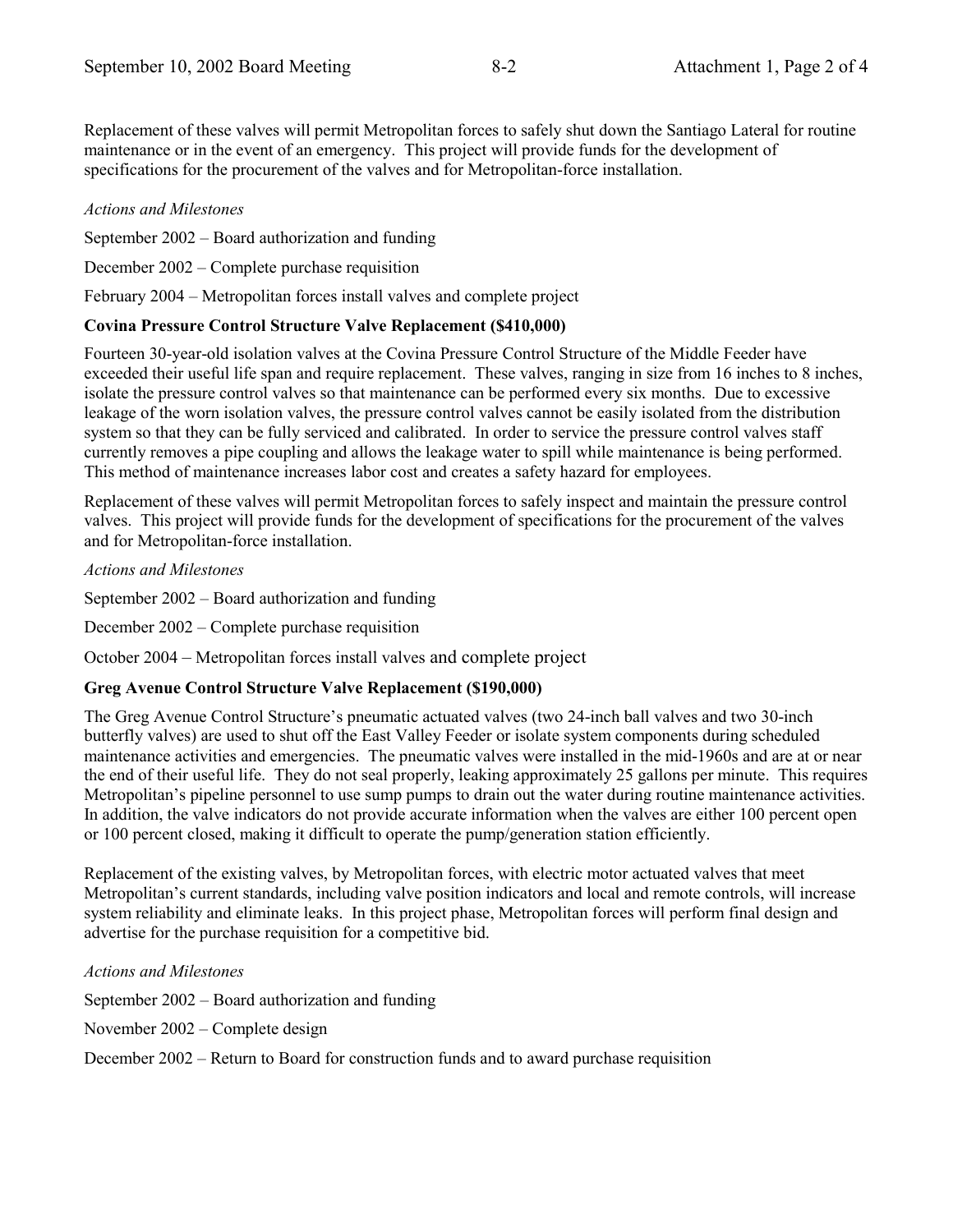Replacement of these valves will permit Metropolitan forces to safely shut down the Santiago Lateral for routine maintenance or in the event of an emergency. This project will provide funds for the development of specifications for the procurement of the valves and for Metropolitan-force installation.

#### *Actions and Milestones*

September  $2002$  – Board authorization and funding

December  $2002$  – Complete purchase requisition

February 2004 – Metropolitan forces install valves and complete project

#### **Covina Pressure Control Structure Valve Replacement (\$410,000)**

Fourteen 30-year-old isolation valves at the Covina Pressure Control Structure of the Middle Feeder have exceeded their useful life span and require replacement. These valves, ranging in size from 16 inches to 8 inches, isolate the pressure control valves so that maintenance can be performed every six months. Due to excessive leakage of the worn isolation valves, the pressure control valves cannot be easily isolated from the distribution system so that they can be fully serviced and calibrated. In order to service the pressure control valves staff currently removes a pipe coupling and allows the leakage water to spill while maintenance is being performed. This method of maintenance increases labor cost and creates a safety hazard for employees.

Replacement of these valves will permit Metropolitan forces to safely inspect and maintain the pressure control valves. This project will provide funds for the development of specifications for the procurement of the valves and for Metropolitan-force installation.

*Actions and Milestones*

September  $2002 -$ Board authorization and funding

December 2002 – Complete purchase requisition

October 2004 – Metropolitan forces install valves and complete project

## **Greg Avenue Control Structure Valve Replacement (\$190,000)**

The Greg Avenue Control Structure's pneumatic actuated valves (two 24-inch ball valves and two 30-inch butterfly valves) are used to shut off the East Valley Feeder or isolate system components during scheduled maintenance activities and emergencies. The pneumatic valves were installed in the mid-1960s and are at or near the end of their useful life. They do not seal properly, leaking approximately 25 gallons per minute. This requires Metropolitan's pipeline personnel to use sump pumps to drain out the water during routine maintenance activities. In addition, the valve indicators do not provide accurate information when the valves are either 100 percent open or 100 percent closed, making it difficult to operate the pump/generation station efficiently.

Replacement of the existing valves, by Metropolitan forces, with electric motor actuated valves that meet Metropolitanís current standards, including valve position indicators and local and remote controls, will increase system reliability and eliminate leaks. In this project phase, Metropolitan forces will perform final design and advertise for the purchase requisition for a competitive bid.

*Actions and Milestones*

September  $2002 -$ Board authorization and funding

November  $2002$  – Complete design

December  $2002$  – Return to Board for construction funds and to award purchase requisition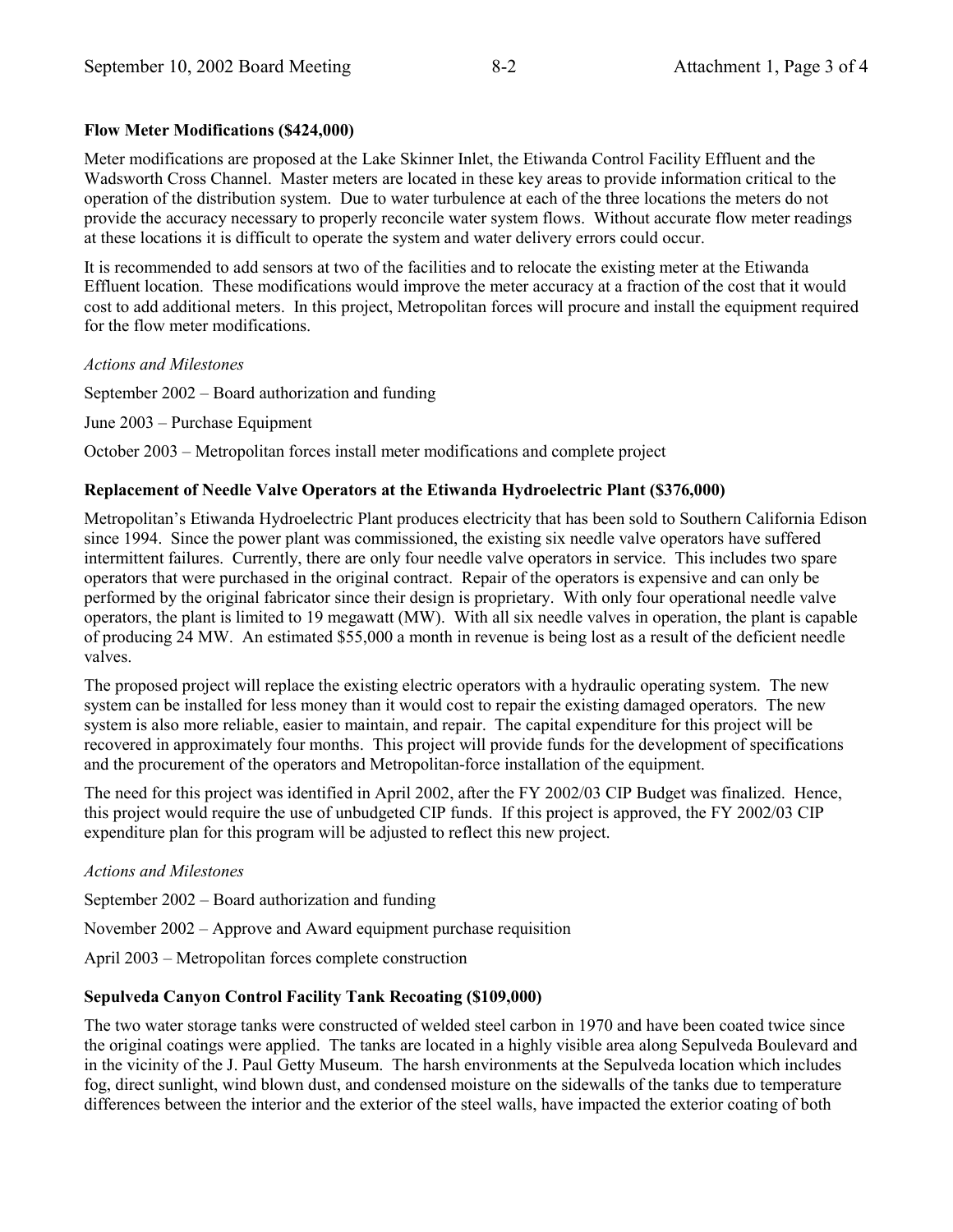## **Flow Meter Modifications (\$424,000)**

Meter modifications are proposed at the Lake Skinner Inlet, the Etiwanda Control Facility Effluent and the Wadsworth Cross Channel. Master meters are located in these key areas to provide information critical to the operation of the distribution system. Due to water turbulence at each of the three locations the meters do not provide the accuracy necessary to properly reconcile water system flows. Without accurate flow meter readings at these locations it is difficult to operate the system and water delivery errors could occur.

It is recommended to add sensors at two of the facilities and to relocate the existing meter at the Etiwanda Effluent location. These modifications would improve the meter accuracy at a fraction of the cost that it would cost to add additional meters. In this project, Metropolitan forces will procure and install the equipment required for the flow meter modifications.

#### *Actions and Milestones*

September  $2002 -$ Board authorization and funding

June 2003 – Purchase Equipment

October 2003 – Metropolitan forces install meter modifications and complete project

## **Replacement of Needle Valve Operators at the Etiwanda Hydroelectric Plant (\$376,000)**

Metropolitanís Etiwanda Hydroelectric Plant produces electricity that has been sold to Southern California Edison since 1994. Since the power plant was commissioned, the existing six needle valve operators have suffered intermittent failures. Currently, there are only four needle valve operators in service. This includes two spare operators that were purchased in the original contract. Repair of the operators is expensive and can only be performed by the original fabricator since their design is proprietary. With only four operational needle valve operators, the plant is limited to 19 megawatt (MW). With all six needle valves in operation, the plant is capable of producing 24 MW. An estimated \$55,000 a month in revenue is being lost as a result of the deficient needle valves.

The proposed project will replace the existing electric operators with a hydraulic operating system. The new system can be installed for less money than it would cost to repair the existing damaged operators. The new system is also more reliable, easier to maintain, and repair. The capital expenditure for this project will be recovered in approximately four months. This project will provide funds for the development of specifications and the procurement of the operators and Metropolitan-force installation of the equipment.

The need for this project was identified in April 2002, after the FY 2002/03 CIP Budget was finalized. Hence, this project would require the use of unbudgeted CIP funds. If this project is approved, the FY 2002/03 CIP expenditure plan for this program will be adjusted to reflect this new project.

#### *Actions and Milestones*

September  $2002 -$ Board authorization and funding

November  $2002$  – Approve and Award equipment purchase requisition

April 2003 – Metropolitan forces complete construction

## **Sepulveda Canyon Control Facility Tank Recoating (\$109,000)**

The two water storage tanks were constructed of welded steel carbon in 1970 and have been coated twice since the original coatings were applied. The tanks are located in a highly visible area along Sepulveda Boulevard and in the vicinity of the J. Paul Getty Museum. The harsh environments at the Sepulveda location which includes fog, direct sunlight, wind blown dust, and condensed moisture on the sidewalls of the tanks due to temperature differences between the interior and the exterior of the steel walls, have impacted the exterior coating of both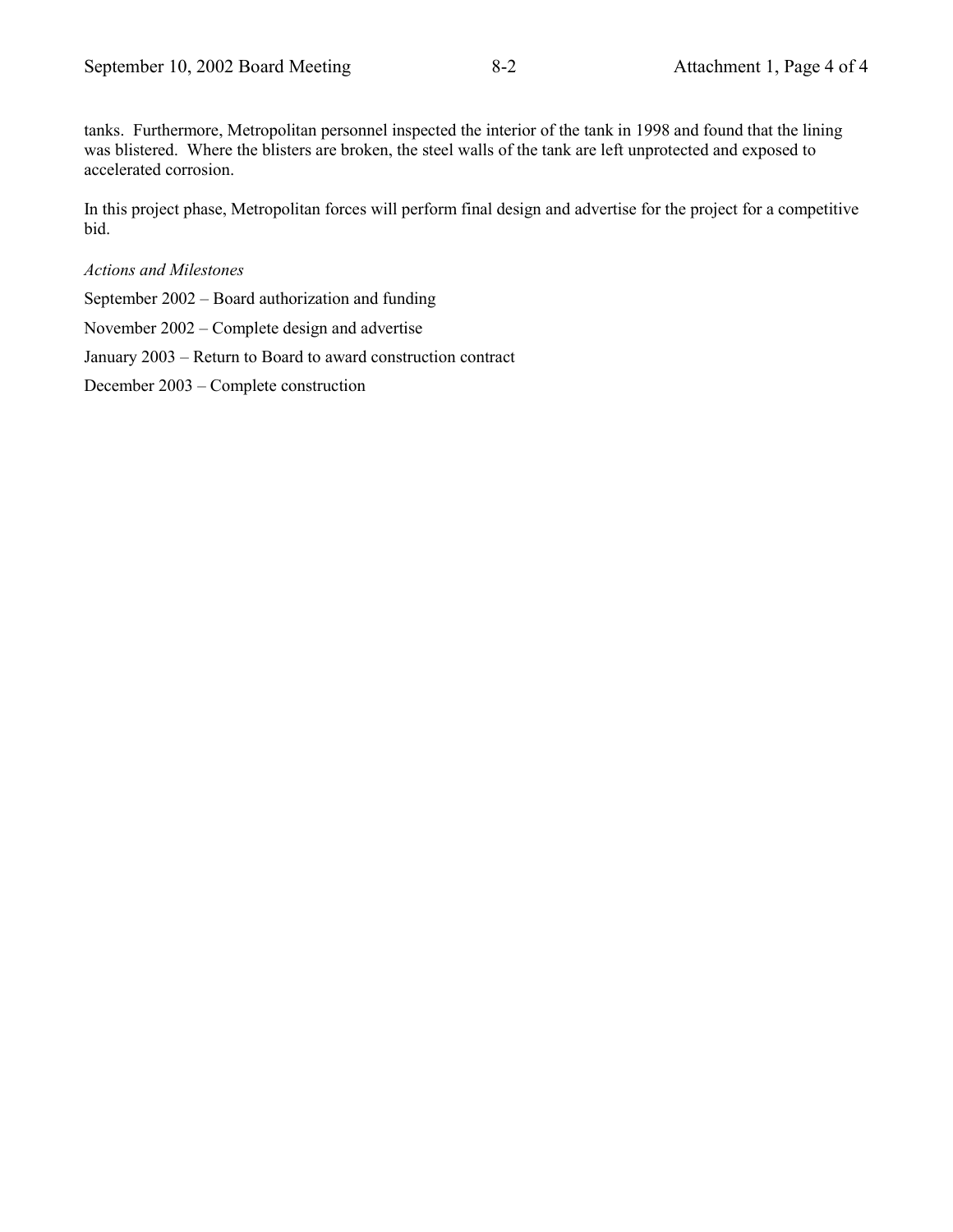tanks. Furthermore, Metropolitan personnel inspected the interior of the tank in 1998 and found that the lining was blistered. Where the blisters are broken, the steel walls of the tank are left unprotected and exposed to accelerated corrosion.

In this project phase, Metropolitan forces will perform final design and advertise for the project for a competitive bid.

#### *Actions and Milestones*

September  $2002$  – Board authorization and funding

November  $2002$  – Complete design and advertise

January 2003 – Return to Board to award construction contract

December 2003 – Complete construction